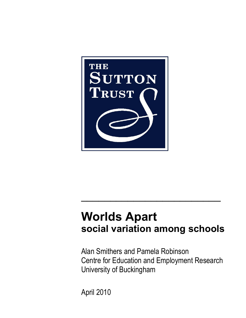

# **Worlds Apart social variation among schools**

 $\mathcal{L}_\text{max} = \frac{1}{2} \sum_{i=1}^n \frac{1}{2} \sum_{i=1}^n \frac{1}{2} \sum_{i=1}^n \frac{1}{2} \sum_{i=1}^n \frac{1}{2} \sum_{i=1}^n \frac{1}{2} \sum_{i=1}^n \frac{1}{2} \sum_{i=1}^n \frac{1}{2} \sum_{i=1}^n \frac{1}{2} \sum_{i=1}^n \frac{1}{2} \sum_{i=1}^n \frac{1}{2} \sum_{i=1}^n \frac{1}{2} \sum_{i=1}^n \frac{1}{2} \sum_{i=1}^n$ 

Alan Smithers and Pamela Robinson Centre for Education and Employment Research University of Buckingham

April 2010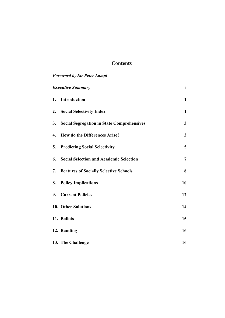# **Contents**

# *Foreword by Sir Peter Lampl Executive Summary* **i 1. Introduction 1 2. Social Selectivity Index 1 3. Social Segregation in State Comprehensives 3 4. How do the Differences Arise? 3 5. Predicting Social Selectivity 5 6. Social Selection and Academic Selection 7 7. Features of Socially Selective Schools 8 8. Policy Implications** 10 **9. Current Policies** 12  **10. Other Solutions** 14  **11. Ballots 15 12. Banding 16 16 13. The Challenge 16**  16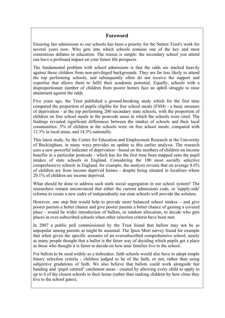# **Foreword**

Ensuring fair admissions to our schools has been a priority for the Sutton Trust's work for several years now. Who gets into which schools remains one of the key and most contentious debates in education. The reason is simple: the secondary school you attend can have a profound impact on your future life prospects.

The fundamental problem with school admissions is that the odds are stacked heavily against those children from non-privileged backgrounds. They are far less likely to attend the top performing schools, and subsequently often do not receive the support and expertise that allows them to fulfil their academic potential. Equally, schools with a disproportionate number of children from poorer homes face an uphill struggle to raise attainment against the odds.

Five years ago, the Trust published a ground-breaking study which for the first time compared the proportion of pupils eligible for free school meals (FSM) - a basic measure of deprivation - at the top performing 200 secondary state schools, with the proportion of children on free school meals in the postcode areas in which the schools were sited. The findings revealed significant differences between the intakes of schools and their local communities: 3% of children at the schools were on free school meals, compared with 12.3% in local areas, and 14.3% nationally.

This latest study, by the Centre for Education and Employment Research at the University of Buckingham, in many ways provides an update to this earlier analysis. The research uses a new powerful indicator of deprivation - based on the numbers of children on income benefits in a particular postcode - which has for the first time been mapped onto the pupil intakes of state schools in England. Considering the 100 most socially selective comprehensive schools in England, for example, the analysis reveals that on average 8.6% of children are from income deprived homes - despite being situated in localities where 20.1% of children are income deprived.

What should be done to address such stark social segregation in our school system? The researchers remain unconvinced that either the current admissions code, or 'supply-side' reforms to create a new cadre of independently run state schools will provide the solution.

However, one step that would help to provide more balanced school intakes – and give poorer parents a better chance and give poorer parents a better chance of gaining a coveted place - would be wider introduction of ballots, or random allocation, to decide who gets places in over-subscribed schools when other selection criteria have been met.

In 2007 a public poll commissioned by the Trust found that ballots may not be as unpopular among parents as might be assumed. The Ipsos Mori survey found for example that when given the specific scenario of an oversubscribed comprehensive school, nearly as many people thought that a ballot is the fairer way of deciding which pupils get a place as those who thought it is fairer to decide on how near families live to the school.

For ballots to be used widely as a tiebreaker, faith schools would also have to adopt simple binary selection criteria - children judged to be of the faith, or not, rather than using subjective gradations of faith. We also believe that ballots could work alongside fair banding and 'pupil centred' catchment areas - created by allowing every child to apply to up to 6 of the closest schools to their home (rather than ranking children by how close they live to the school gates).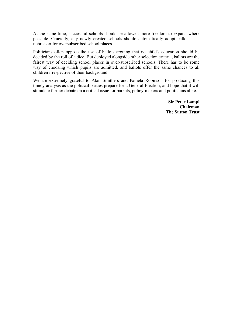At the same time, successful schools should be allowed more freedom to expand where possible. Crucially, any newly created schools should automatically adopt ballots as a tiebreaker for oversubscribed school places.

Politicians often oppose the use of ballots arguing that no child's education should be decided by the roll of a dice. But deployed alongside other selection criteria, ballots are the fairest way of deciding school places in over-subscribed schools. There has to be some way of choosing which pupils are admitted, and ballots offer the same chances to all children irrespective of their background.

We are extremely grateful to Alan Smithers and Pamela Robinson for producing this timely analysis as the political parties prepare for a General Election, and hope that it will stimulate further debate on a critical issue for parents, policy-makers and politicians alike.

> **Sir Peter Lampl Chairman The Sutton Trust**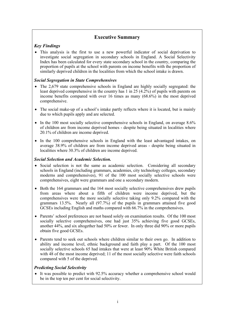# **Executive Summary**

# *Key Findings*

• This analysis is the first to use a new powerful indicator of social deprivation to investigate social segregation in secondary schools in England. A Social Selectivity Index has been calculated for every state secondary school in the country, comparing the proportion of pupils at the school with parents on income benefits with the proportion of similarly deprived children in the localities from which the school intake is drawn.

## *Social Segregation in State Comprehensives*

- The 2,679 state comprehensive schools in England are highly socially segregated: the least deprived comprehensive in the country has 1 in 25 (4.2%) of pupils with parents on income benefits compared with over 16 times as many (68.6%) in the most deprived comprehensive.
- The social make-up of a school's intake partly reflects where it is located, but is mainly due to which pupils apply and are selected.
- In the 100 most socially selective comprehensive schools in England, on average 8.6% of children are from income deprived homes - despite being situated in localities where 20.1% of children are income deprived.
- In the 100 comprehensive schools in England with the least advantaged intakes, on average 38.9% of children are from income deprived areas - despite being situated in localities where 30.3% of children are income deprived.

#### *Social Selection and Academic Selection.*

- Social selection is not the same as academic selection. Considering all secondary schools in England (including grammars, academies, city technology colleges, secondary moderns and comprehensives), 91 of the 100 most socially selective schools were comprehensives, eight were grammars and one a secondary modern.
- Both the 164 grammars and the 164 most socially selective comprehensives drew pupils from areas where about a fifth of children were income deprived, but the comprehensives were the more socially selective taking only 9.2% compared with the grammars 13.5%. Nearly all (97.7%) of the pupils in grammars attained five good GCSEs including English and maths compared with 66.7% in the comprehensives.
- Parents' school preferences are not based solely on examination results. Of the 100 most socially selective comprehensives, one had just 35% achieving five good GCSEs, another 44%, and six altogether had 50% or fewer. In only three did 90% or more pupils obtain five good GCSEs.
- Parents tend to seek out schools where children similar to their own go. In addition to ability and income level, ethnic background and faith play a part. Of the 100 most socially selective schools 65 had intakes that were at least 90% White British compared with 48 of the most income deprived; 11 of the most socially selective were faith schools compared with 5 of the deprived.

#### *Predicting Social Selectivity*

• It was possible to predict with 92.5% accuracy whether a comprehensive school would be in the top ten per cent for social selectivity.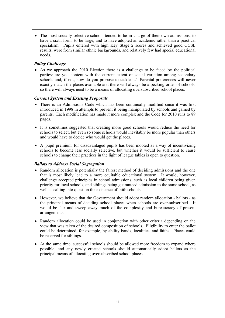• The most socially selective schools tended to be in charge of their own admissions, to have a sixth form, to be large, and to have adopted an academic rather than a practical specialism. Pupils entered with high Key Stage 2 scores and achieved good GCSE results, were from similar ethnic backgrounds, and relatively few had special educational needs.

## *Policy Challenge*

• As we approach the 2010 Election there is a challenge to be faced by the political parties: are you content with the current extent of social variation among secondary schools and, if not, how do you propose to tackle it? Parental preferences will never exactly match the places available and there will always be a pecking order of schools, so there will always need to be a means of allocating oversubscribed school places.

## *Current System and Existing Proposals*

- There is an Admissions Code which has been continually modified since it was first introduced in 1998 in attempts to prevent it being manipulated by schools and gamed by parents. Each modification has made it more complex and the Code for 2010 runs to 89 pages.
- It is sometimes suggested that creating more good schools would reduce the need for schools to select, but even so some schools would inevitably be more popular than others and would have to decide who would get the places.
- A 'pupil premium' for disadvantaged pupils has been mooted as a way of incentivizing schools to become less socially selective, but whether it would be sufficient to cause schools to change their practices in the light of league tables is open to question.

#### *Ballots to Address Social Segregation*

- Random allocation is potentially the fairest method of deciding admissions and the one that is most likely lead to a more equitable educational system. It would, however, challenge accepted principles in school admissions, such as local children being given priority for local schools, and siblings being guaranteed admission to the same school, as well as calling into question the existence of faith schools.
- However, we believe that the Government should adopt random allocation ballots as the principal means of deciding school places when schools are over-subscribed. It would be fair and sweep away much of the complexity and bureaucracy of present arrangements.
- Random allocation could be used in conjunction with other criteria depending on the view that was taken of the desired composition of schools. Eligibility to enter the ballot could be determined, for example, by ability bands, localities, and faiths. Places could be reserved for siblings.
- At the same time, successful schools should be allowed more freedom to expand where possible, and any newly created schools should automatically adopt ballots as the principal means of allocating oversubscribed school places.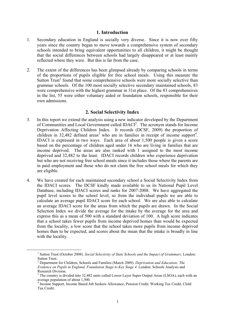#### **1. Introduction**

- 1. Secondary education in England is socially very diverse. Since it is now over fifty years since the country began to move towards a comprehensive system of secondary schools intended to bring equivalent opportunities to all children, it might be thought that the social differences between schools had largely disappeared or at least mainly reflected where they were. But this is far from the case.
- 2. The extent of the differences has been glimpsed already by comparing schools in terms of the proportions of pupils eligible for free school meals. Using this measure the Sutton $Trust<sup>1</sup>$  found that some comprehensive schools were more socially selective than grammar schools. Of the 100 most socially selective secondary maintained schools, 83 were comprehensive with the highest grammar in 31st place. Of the 83 comprehensives in the list, 55 were either voluntary aided or foundation schools, responsible for their own admissions.

## **2. Social Selectivity Index**

- 3. In this report we extend the analysis using a new indicator developed by the Department of Communities and Local Government called IDACI<sup>[2](#page-6-1)</sup>. The acronym stands for Income Deprivation Affecting Children Index. It records (DCSF, 2009) the proportion of childrenin 32,482 defined areas<sup>3</sup> who are in families in receipt of income support<sup>4</sup>[.](#page-6-3) IDACI is expressed in two ways. Each area of about 1,500 people is given a score based on the percentage of children aged under 16 who are living in families that are income deprived. The areas are also ranked with 1 assigned to the most income deprived and 32,482 to the least. IDACI records children who experience deprivation but who are not receiving free school meals since it includes those where the parents are in paid employment and those who do not claim the free school meals for which they are eligible.
- 4. We have created for each maintained secondary school a Social Selectivity Index from the IDACI scores. The DCSF kindly made available to us its National Pupil Level Database, including IDACI scores and ranks for 2007-2008. We have aggregated the pupil level scores to the school level, so from the individual pupils we are able to calculate an average pupil IDACI score for each school. We are also able to calculate an average IDACI score for the areas from which the pupils are drawn. In the Social Selection Index we divide the average for the intake by the average for the area and express this as a mean of 500 with a standard deviation of 100. A high score indicates that a school takes fewer pupils from income deprived homes than would be expected from the locality, a low score that the school takes more pupils from income deprived homes than to be expected, and scores about the mean that the intake is broadly in line with the locality.

 $\frac{1}{1}$ <sup>1</sup> Sutton Trust (October 2008). *Social Selectivity of State Schools and the Impact of Grammars*. London: Sutton Trust.

<span id="page-6-1"></span><span id="page-6-0"></span>Department for Children, Schools and Families (March 2009). *Deprivation and Education: The Evidence on Pupils in England, Foundation Stage to Key Stage 4.* London: Schools Analysis and Research Division.

<span id="page-6-2"></span><sup>&</sup>lt;sup>3</sup> The country is divided into 32,482 units called Lower Layer Super Output Areas (LSOA), each with an average population of about 1,500. 4

<span id="page-6-3"></span><sup>&</sup>lt;sup>4</sup> Income Support, Income Based Job Seekers Allowance, Pension Credit, Working Tax Credit, Child Tax Credit.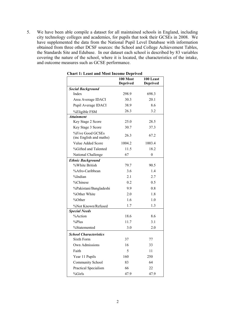5. We have been able compile a dataset for all maintained schools in England, including city technology colleges and academies, for pupils that took their GCSEs in 2008. We have supplemented the data from the National Pupil Level Database with information obtained from three other DCSF sources: the School and College Achievement Tables, the Standards Site and Edubase. In our dataset each school is described by 83 variables covering the nature of the school, where it is located, the characteristics of the intake, and outcome measures such as GCSE performance.

|                                             | 100 Most<br><b>Deprived</b> | 100 Least<br><b>Deprived</b> |
|---------------------------------------------|-----------------------------|------------------------------|
| <b>Social Background</b>                    |                             |                              |
| Index                                       | 298.9                       | 698.3                        |
| Area Average IDACI                          | 30.3                        | 20.1                         |
| Pupil Average IDACI                         | 38.9                        | 8.6                          |
| %Eligible FSM                               | 26.3                        | 3.2                          |
| <b>Attainment</b>                           |                             |                              |
| Key Stage 2 Score                           | 25.0                        | 28.5                         |
| Key Stage 3 Score                           | 30.7                        | 37.3                         |
| %Five Good GCSEs<br>(inc English and maths) | 26.3                        | 67.2                         |
| Value Added Score                           | 1004.2                      | 1003.4                       |
| %Gifted and Talented                        | 11.5                        | 18.2                         |
| National Challenge                          | 67                          | $\boldsymbol{0}$             |
| <b>Ethnic Background</b>                    |                             |                              |
| %White British                              | 79.7                        | 90.5                         |
| %Afro-Caribbean                             | 3.6                         | 1.4                          |
| %Indian                                     | 2.1                         | 2.7                          |
| %Chinese                                    | 0.2                         | 0.5                          |
| %Pakistani/Bangladeshi                      | 9.9                         | 0.8                          |
| %Other White                                | 2.0                         | 1.8                          |
| %Other                                      | 1.6                         | 1.0                          |
| %Not Known/Refused                          | 1.7                         | 1.3                          |
| <b>Special Needs</b>                        |                             |                              |
| %Action                                     | 18.6                        | 8.6                          |
| $%$ Plus                                    | 11.7                        | 3.1                          |
| %Statemented                                | 3.0                         | 2.0                          |
| <b>School Characteristics</b>               |                             |                              |
| Sixth Form                                  | 37                          | 77                           |
| Own Admissions                              | 16                          | 33                           |
| Faith                                       | 5                           | 11                           |
| Year 11 Pupils                              | 160                         | 250                          |
| <b>Community School</b>                     | 83                          | 64                           |
| Practical Specialism                        | 66                          | 22                           |
| %Girls                                      | 47.9                        | 47.9                         |

**Chart 1: Least and Most Income Deprived**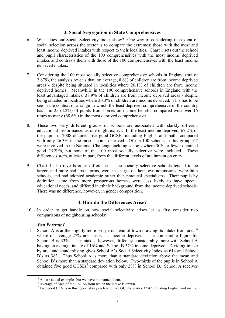#### **3. Social Segregation in State Comprehensives**

- 6. What does our Social Selectivity Index show? One way of considering the extent of social selection across the sector is to compare the extremes: those with the most and least income deprived intakes with respect to their localities. Chart 1 sets out the school and pupil characteristics of the 100 comprehensives with the most income deprived intakes and contrasts them with those of the 100 comprehensives with the least income deprived intakes.
- 7. Considering the 100 most socially selective comprehensive schools in England (out of 2,679), the analysis reveals that, on average, 8.6% of children are from income deprived areas - despite being situated in localities where 20.1% of children are from income deprived homes. Meanwhile in the 100 comprehensive schools in England with the least advantaged intakes, 38.9% of children are from income deprived areas - despite being situated in localities where 30.3% of children are income deprived. This has to be see in the context of a range in which the least deprived comprehensive in the country has 1 in 25 (4.2%) of pupils from homes on income benefits compared with over 16 times as many (68.6%) in the most deprived comprehensive.
- 8. These two very different groups of schools are associated with starkly different educational performance, as one might expect. In the least income deprived, 67.2% of the pupils in 2008 obtained five good GCSEs including English and maths compared with only 26.3% in the most income deprived. Of the 100 schools in this group, 67 were involved in the National Challenge tackling schools where 30% or fewer obtained good GCSEs, but none of the 100 most socially selective were included. These differences stem, at least in part, from the different levels of attainment on entry.
- 9. Chart 1 also reveals other differences. The socially selective schools tended to be larger, and more had sixth forms, were in charge of their own admissions, were faith schools, and had adopted academic rather than practical specialisms. Their pupils by definition came from more prosperous homes, were less likely to have special educational needs, and differed in ethnic background from the income deprived schools. There was no difference, however, in gender composition.

#### **4. How do the Differences Arise?**

10. In order to get handle on how social selectivity arises let us first consider two comparisons of neighbouring schools<sup>5</sup>.

#### *Pen Portrait I*

11. School A is at the slightly more prosperous end of town drawing its intake from areas<sup> $6$ </sup> where on average 27% are classed as income deprived. The comparable figure for School B is 33%. The intakes, however, differ by considerably more with School A having an average intake of 16% and School B 37% income deprived. Dividing intake by area and standardising gives School A's Social Selectivity Index as 614 and School B's as 383. Thus School A is more than a standard deviation above the mean and School B's more than a standard deviation below. Two-thirds of the pupils in School A obtainedfive good  $GCSEs^7$  compared with only 28% in School B. School A receives

 $rac{1}{5}$  $<sup>5</sup>$  All are actual examples but we have not named them.</sup>

<span id="page-8-1"></span><span id="page-8-0"></span> $\frac{1}{2}$  Average of each of the LSOAs from which the intake is drawn.

<span id="page-8-2"></span> $\frac{7}{1}$  Five good GCSEs in this report always refers to five GCSEs grades A\*-C including English and maths.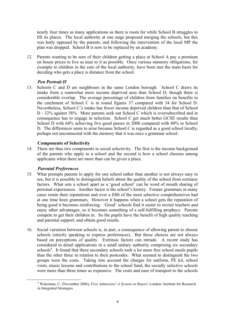nearly four times as many applications as there is room for while School B struggles to fill its places. The local authority at one stage proposed merging the schools, but this was hotly opposed by the parents, and following the intervention of the local MP the plan was dropped. School B is now to be replaced by an academy.

12. Parents wanting to be sure of their children getting a place at School A pay a premium on house prices to live as near to it as possible. Once various statutory obligations, for example to children in the care of the local authority, have been met the main basis for deciding who gets a place is distance from the school.

## *Pen Portrait II*

13. Schools C and D are neighbours in the same London borough. School C draws its intake from a somewhat more income deprived area than School D, though there is considerable overlap. The average percentage of children from families on benefits in the catchment of School C is in round figures 37 compared with 34 for School D. Nevertheless, School C's intake has fewer income deprived children than that of School D - 32% against 38%. More parents seek out School C which is oversubscribed and in consequence has to engage in selection. School C get much better GCSE results than School D with 64% achieving five good passes in 2008 compared with 40% in School D. The differences seem to arise because School C is regarded as a good school locally, perhaps not unconnected with the memory that it was once a grammar school.

## **Components of Selectivity**

14. There are thus two components to social selectivity. The first is the income background of the parents who apply to a school and the second is how a school chooses among applicants when there are more than can be given a place.

#### *Parental Preferences*

- 15. What prompts parents to apply for one school rather than another is not always easy to see, but it is possible to distinguish beliefs about the quality of the school from extrinsic factors. What sets a school apart as a 'good school' can be word of mouth sharing of personal experiences. Another factor is the school's history. Former grammars in many cases retain their reputations and over a fifth of the most selective comprehensives had at one time been grammars. However it happens when a school gets the reputation of being good it becomes reinforcing. 'Good' schools find it easier to recruit teachers and enjoy other advantages, so it becomes something of a self-fulfilling prophecy. Parents compete to get their children in. So the pupils have the benefit of high quality teaching and parental support, and obtain good results.
- 16. Social variation between schools is, in part, a consequence of allowing parent to choose schools (strictly speaking to express preferences). But those choices are not always based on perceptions of quality. Extrinsic factors can intrude. A recent study has considered in detail applications in a small unitary authority comprising six secondary schools<sup>8</sup>[.](#page-9-0) It found that three secondary schools took a lot more free school meals pupils than the other three in relation to their postcodes. What seemed to distinguish the two groups were the costs. Taking into account the charges for uniform, PE kit, school visits, music lessons and contributions to the school fund, the socially selective schools were more than three times as expensive. The costs and ease of transport to the schools

<span id="page-9-0"></span> <sup>8</sup> Waterman, C. (November 2006), *Free Admission? A System on Report*. London: Institute for Research in Integrated Strategies.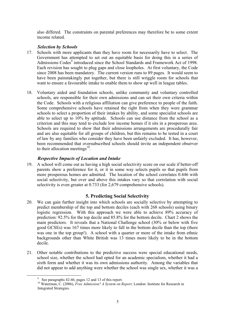also differed. The constraints on parental preferences may therefore be to some extent income related.

#### *Selection by Schools*

- 17. Schools with more applicants than they have room for necessarily have to select. The Government has attempted to set out an equitable basis for doing this in a series of AdmissionsCodes<sup>9</sup> introduced since the School Standards and Framework Act of 1998. Each revision has sought to plug gaps and close loopholes. At first voluntary, the Code since 2008 has been mandatory. The current version runs to 89 pages. It would seem to have been painstakingly put together, but there is still wriggle room for schools that want to ensure a favourable intake to enable them to show up well in league tables.
- 18. Voluntary aided and foundation schools, unlike community and voluntary controlled schools, are responsible for their own admissions and can set their own criteria within the Code. Schools with a religious affiliation can give preference to people of the faith. Some comprehensive schools have retained the right from when they were grammar schools to select a proportion of their intakes by ability, and some specialist schools are able to select up to 10% by aptitude. Schools can use distance from the school as a criterion and this may tend to exclude low income homes if it sits in a prosperous area. Schools are required to show that their admissions arrangements are procedurally fair and are also equitable for all groups of children, but this remains to be tested in a court of law by any families who consider they have been unfairly excluded. It has, however, been recommended that oversubscribed schools should invite an independent observer to their allocation meetings $^{10}$ .

# *Respective Impacts of Location and Intake*

19. A school will come out as having a high social selectivity score on our scale if better-off parents show a preference for it, or it in some way selects pupils so that pupils from more prosperous homes are admitted. The location of the school correlates 0.446 with social selectivity, but over and above this intakes vary so that correlation with social selectivity is even greater at 0.733 (for 2,679 comprehensive schools).

# **5. Predicting Social Selectivity**

- 20. We can gain further insight into which schools are socially selective by attempting to predict membership of the top and bottom deciles (each with 268 schools) using binary logistic regression. With this approach we were able to achieve 89% accuracy of prediction: 92.5% for the top decile and 85.8% for the bottom decile. Chart 2 shows the main predictors. It reveals that a National Challenge school (30% or below with five good GCSEs) was 167 times more likely to fall in the bottom decile than the top (there was one in the top group!). A school with a quarter or more of the intake from ethnic backgrounds other than White British was 13 times more likely to be in the bottom decile.
- 21. Other notable contributions to the predictive success were special educational needs, school size, whether the school had opted for an academic specialism, whether it had a sixth form and whether it was its own admissions authority. Among the variables that did not appear to add anything were whether the school was single sex, whether it was a

 <sup>9</sup>

<span id="page-10-1"></span><span id="page-10-0"></span><sup>&</sup>lt;sup>9</sup> See paragraphs 42-46, pages 12 and 13 of this report.<br><sup>10</sup> Waterman, C. (2006), *Free Admission? A System on Report*. London: Institute for Research in Integrated Strategies.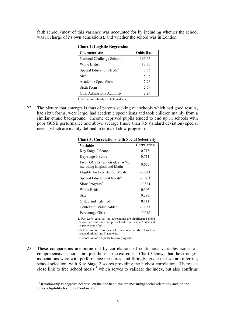faith school (most of this variance was accounted for by including whether the school was in charge of its own admissions), and whether the school was in London.

| <b>Characteristic</b>                  | <b>Odds Ratio</b> |
|----------------------------------------|-------------------|
| National Challenge School <sup>1</sup> | 166.67            |
| White British                          | 13.36             |
| Special Education Needs <sup>1</sup>   | 8.33              |
| Size                                   | 5.05              |
| Academic Specialism                    | 296               |
| Sixth Form                             | 2.59              |
| Own Admissions Authority               | 2.29              |

**Chart 2: Logistic Regression**

1. Predicts membership of bottom decile.

22. The picture that emerges is thus of parents seeking out schools which had good results, had sixth forms, were large, had academic specialisms and took children mainly from a similar ethnic background. Income deprived pupils tended to end up in schools with poor GCSE performance and above average (more than 0.5 standard deviation) special needs (which are mainly defined in terms of slow progress).

| Variable                                                 | Correlation |
|----------------------------------------------------------|-------------|
| Key Stage 2 Score                                        | 0.715       |
| Key stage 3 Score                                        | 0.711       |
| Five GCSEs at Grades A*-C<br>including English and Maths | 0.655       |
| Eligible for Free School Meals                           | $-0.623$    |
| Special Educational Needs <sup>2</sup>                   | $-0.363$    |
| Slow Progress <sup>3</sup>                               | $-0.324$    |
| White British                                            | 0.303       |
| Size                                                     | 0.297       |
| Gifted and Talented                                      | 0.111       |
| Contextual Value Added                                   | $-0.033$    |
| Percentage Girls                                         | -0.018      |

**Chart 3: Correlations with Social Selectivity** 

1. For 2,679 cases all the correlations are significant beyond the one per cent level except for Contextual Value Added and the percentage of girls.

2.School Action Plus (special educational needs referred to local authorities) and Statements.

3. School Action (response to slow progress).

23. These comparisons are borne out by correlations of continuous variables across all comprehensive schools, not just those at the extremes. Chart 3 shows that the strongest associations were with performance measures, and fittingly, given that we are inferring school selection, with Key Stage 2 scores providing the highest correlation. There is a close link to free school meals<sup>11</sup> which serves to validate the index, but also confirms

<span id="page-11-0"></span> $11$  Relationship is negative because, on the one hand, we are measuring social selectivity and, on the other, eligibility for free school meals.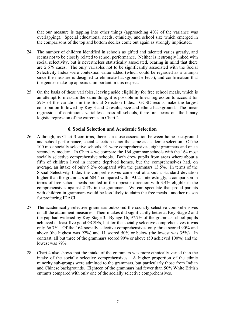that our measure is tapping into other things (approaching  $40\%$  of the variance was overlapping). Special educational needs, ethnicity, and school size which emerged in the comparisons of the top and bottom deciles come out again as strongly implicated.

- 24. The number of children identified in schools as gifted and talented varies greatly, and seems not to be closely related to school performance. Neither is it strongly linked with social selectivity, but is nevertheless statistically associated, bearing in mind that there are 2,679 cases. The only variables not to be significantly associated with the Social Selectivity Index were contextual value added (which could be regarded as a triumph since the measure is designed to eliminate background effects), and confirmation that the gender make-up appears unimportant in this respect.
- 25. On the basis of these variables, leaving aside eligibility for free school meals, which is an attempt to measure the same thing, it is possible in linear regression to account for 59% of the variation in the Social Selection Index. GCSE results make the largest contribution followed by Key 3 and 2 results, size and ethnic background. The linear regression of continuous variables across all schools, therefore, bears out the binary logistic regression of the extremes in Chart 2.

#### **6. Social Selection and Academic Selection**

- 26. Although, as Chart 3 confirms, there is a close association between home background and school performance, social selection is not the same as academic selection. Of the 100 most socially selective schools, 91 were comprehensives, eight grammars and one a secondary modern. In Chart 4 we compare the 164 grammar schools with the 164 most socially selective comprehensive schools. Both drew pupils from areas where about a fifth of children lived in income deprived homes, but the comprehensives had, on average, an intake of only 9.2% compared with the grammars 13.5%. In terms of the Social Selectivity Index the comprehensives came out at about a standard deviation higher than the grammars at 684.4 compared with 593.2. Interestingly, a comparison in terms of free school meals pointed in the opposite direction with 3.4% eligible in the comprehensives against 2.1% in the grammars. We can speculate that proud parents with children in grammars would be less likely to claim the free meals - another reason for preferring IDACI.
- 27. The academically selective grammars outscored the socially selective comprehensives on all the attainment measures. Their intakes did significantly better at Key Stage 2 and the gap had widened by Key Stage 3. By age 16, 97.7% of the grammar school pupils achieved at least five good GCSEs, but for the socially selective comprehensives it was only 66.7%. Of the 164 socially selective comprehensives only three scored 90% and above (the highest was 92%) and 11 scored 50% or below (the lowest was 35%). In contrast, all but three of the grammars scored 90% or above (50 achieved 100%) and the lowest was 79%.
- 28. Chart 4 also shows that the intake of the grammars was more ethnically varied than the intake of the socially selective comprehensives. A higher proportion of the ethnic minority sub-groups were admitted to the grammars, but particularly those from Indian and Chinese backgrounds. Eighteen of the grammars had fewer than 50% White British entrants compared with only one of the socially selective comprehensives.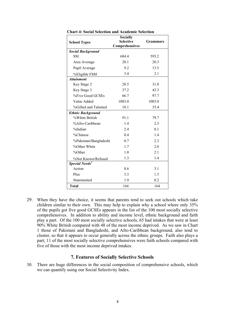| <b>School Types</b>        | <b>Socially</b><br><b>Selective</b> | <b>Grammars</b> |
|----------------------------|-------------------------------------|-----------------|
|                            | Comprehensives                      |                 |
| <b>Social Background</b>   |                                     |                 |
| <b>SSI</b>                 | 6844                                | 593.2           |
| Area Average               | 20.1                                | 20.3            |
| Pupil Average              | 9.2                                 | 13.5            |
| %Eligible FSM              | 3.4                                 | 2.1             |
| <b>Attainment</b>          |                                     |                 |
| Key Stage 2                | 28.5                                | 31.8            |
| Key Stage 3                | 37.2                                | 43.3            |
| %Five Good GCSEs           | 66.7                                | 97.7            |
| Value Added                | 1003.0                              | 1003.0          |
| %Gifted and Talented       | 18.1                                | 35.4            |
| <b>Ethnic Background</b>   |                                     |                 |
| %White British             | 91.1                                | 79.7            |
| %Afro-Caribbean            | 1.4                                 | 2.3             |
| %Indian                    | 2.4                                 | 8.1             |
| %Chinese                   | 0.4                                 | 1.4             |
| %Pakistani/Bangladeshi     | 0.7                                 | 2.3             |
| %Other White               | 1.7                                 | 2.8             |
| %Other                     | 1.0                                 | 2.1             |
| %Not Known/Refused         | 1.3                                 | 1.4             |
| Special Needs <sup>2</sup> |                                     |                 |
| Action                     | 8.6                                 | 3.1             |
| Plus                       | 3.3                                 | 1.3             |
| Statemented                | 1.9                                 | 0.2             |
| <b>Total</b>               | 164                                 | 164             |

**Chart 4: Social Selection and Academic Selection**

29. When they have the choice, it seems that parents tend to seek out schools which take children similar to their own. This may help to explain why a school where only 35% of the pupils got five good GCSEs appears in the list of the 100 most socially selective comprehensives. In addition to ability and income level, ethnic background and faith play a part. Of the 100 most socially selective schools, 65 had intakes that were at least 90% White British compared with 48 of the most income deprived. As we saw in Chart 1 those of Pakistani and Bangladeshi, and Afro-Caribbean background, also tend to cluster, so that it appears to occur generally across the ethnic groups. Faith also plays a part; 11 of the most socially selective comprehensives were faith schools compared with five of those with the most income deprived intakes.

#### **7. Features of Socially Selective Schools**

30. There are huge differences in the social composition of comprehensive schools, which we can quantify using our Social Selectivity Index.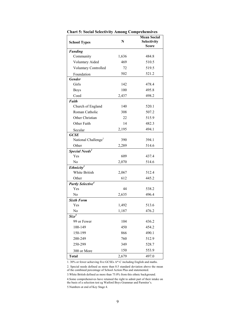| <b>School Types</b>                 | N     | <b>Mean Social</b><br><b>Selectivity</b><br><b>Score</b> |
|-------------------------------------|-------|----------------------------------------------------------|
| <b>Funding</b>                      |       |                                                          |
| Community                           | 1,636 | 484.8                                                    |
| <b>Voluntary Aided</b>              | 469   | 510.5                                                    |
| <b>Voluntary Controlled</b>         | 72    | 519.5                                                    |
| Foundation                          | 502   | 521.2                                                    |
| <b>Gender</b>                       |       |                                                          |
| Girls                               | 142   | 478.4                                                    |
| <b>Boys</b>                         | 100   | 495.8                                                    |
| Coed                                | 2,437 | 498.2                                                    |
| Faith                               |       |                                                          |
| Church of England                   | 140   | 520.1                                                    |
| Roman Catholic                      | 308   | 507.2                                                    |
| Other Christian                     | 22    | 515.9                                                    |
| Other Faith                         | 14    | 482.3                                                    |
| Secular                             | 2,195 | 494.1                                                    |
| <b>GCSE</b>                         |       |                                                          |
| National Challenge <sup>1</sup>     | 390   | 394.1                                                    |
| Other                               | 2,289 | 514.6                                                    |
| Special Needs <sup>2</sup>          |       |                                                          |
| Yes                                 | 609   | 437.4                                                    |
| No                                  | 2,070 | 514.6                                                    |
| Ethnicity <sup>3</sup>              |       |                                                          |
| White British                       | 2,067 | 512.4                                                    |
| Other                               | 612   | 445.2                                                    |
| <b>Partly Selective<sup>4</sup></b> |       |                                                          |
| Yes                                 | 44    | 538.2                                                    |
| No                                  | 2,635 | 496.4                                                    |
| <b>Sixth Form</b>                   |       |                                                          |
| Yes                                 | 1,492 | 513.6                                                    |
| No                                  | 1,187 | 476.2                                                    |
| $Size^{\overline{5}}$               |       |                                                          |
| 99 or Fewer                         | 104   | 436.2                                                    |
| 100-149                             | 450   | 454.2                                                    |
| 150-199                             | 866   | 490.1                                                    |
| 200-249                             | 760   | 512.9                                                    |
| 250-299                             | 349   | 528.7                                                    |
| 300 or More                         | 150   | 553.9                                                    |
| <b>Total</b>                        | 2,679 | 497.0                                                    |

**Chart 5: Social Selectivity Among Comprehensives**

1. 30% or fewer achieving five GCSEs A\*-C including English and maths.

2. Special needs defined as more than 0.5 standard deviation above the mean of the combined percentage of School Action Plus and statemented.

3.White British defined as more than 75.0% from this ethnic background.

4.Some comprehensives have retained the right to admit part of their intake on the basis of a selection test eg Watford Boys Grammar and Parmiter's.

5.Numbers at end of Key Stage 4.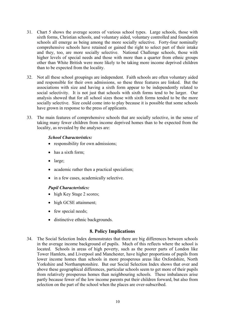- 31. Chart 5 shows the average scores of various school types. Large schools, those with sixth forms, Christian schools, and voluntary aided, voluntary controlled and foundation schools all emerge as being among the more socially selective. Forty-four nominally comprehensive schools have retained or gained the right to select part of their intake and they, too, are more socially selective. National Challenge schools, those with higher levels of special needs and those with more than a quarter from ethnic groups other than White British were more likely to be taking more income deprived children than to be expected from the locality.
- 32. Not all these school groupings are independent. Faith schools are often voluntary aided and responsible for their own admissions, so these three features are linked. But the associations with size and having a sixth form appear to be independently related to social selectivity. It is not just that schools with sixth forms tend to be larger. Our analysis showed that for all school sizes those with sixth forms tended to be the more socially selective. Size could come into to play because it is possible that some schools have grown in response to the press of applicants.
- 33. The main features of comprehensive schools that are socially selective, in the sense of taking many fewer children from income deprived homes than to be expected from the locality, as revealed by the analyses are:

#### *School Characteristics:*

- responsibility for own admissions;
- has a sixth form;
- large;
- academic rather then a practical specialism;
- in a few cases, academically selective.

#### *Pupil Characteristics:*

- high Key Stage 2 scores;
- high GCSE attainment;
- few special needs;
- distinctive ethnic backgrounds.

#### **8. Policy Implications**

34. The Social Selection Index demonstrates that there are big differences between schools in the average income background of pupils. Much of this reflects where the school is located. Schools in areas of high poverty, such as the poorer parts of London like Tower Hamlets, and Liverpool and Manchester, have higher proportions of pupils from lower income homes than schools in more prosperous areas like Oxfordshire, North Yorkshire and Northamptonshire. But our Social Selection Index shows that over and above these geographical differences, particular schools seem to get more of their pupils from relatively prosperous homes than neighbouring schools. These imbalances arise partly because fewer of the low income parents put their children forward, but also from selection on the part of the school when the places are over-subscribed.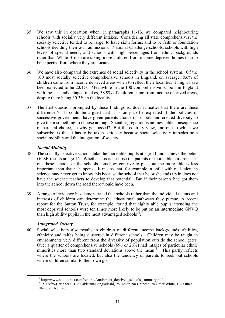- 35. We saw this in operation when, in paragraphs 11-13, we compared neighbouring schools with socially very different intakes. Considering all state comprehensives, the socially selective tended to be large, to have sixth forms, and to be faith or foundation schools deciding their own admissions. National Challenge schools, schools with high levels of special needs, and schools with high percentages from ethnic backgrounds other than White British are taking more children from income deprived homes than to be expected from where they are located.
- 36. We have also compared the extremes of social selectivity in the school system. Of the 100 most socially selective comprehensive schools in England, on average, 8.6% of children came from income deprived areas when to reflect their localities it might have been expected to be 20.1%. Meanwhile in the 100 comprehensive schools in England with the least advantaged intakes, 38.9% of children came from income deprived areas, despite there being 30.3% in the locality.
- 37. The first question prompted by these findings is: does it matter that there are these differences? It could be argued that it is only to be expected if the policies of successive governments have given parents choice of schools and created diversity to give them something to choose among. Social segregation is an inevitable consequence of parental choice, so why get fussed? But the contrary view, and one to which we subscribe, is that it has to be taken seriously because social selectivity impedes both social mobility and the integration of society.

#### *Social Mobility*

- 38. The socially selective schools take the more able pupils at age 11 and achieve the better GCSE results at age 16. Whether this is because the parents of more able children seek out these schools or the schools somehow contrive to pick out the more able is less important than that it happens. It means that, for example, a child with real talent in science may never get to know this because the school that he or she ends up in does not have the science teachers to develop that potential. But if their parents had got them into the school down the road there would have been.
- 39. A range of evidence has demonstrated that schools rather than the individual talents and interests of children can determine the educational pathways they pursue. A recent report for the Sutton Trust, for example, found that highly able pupils attending the most deprived schools were ten times more likely to be put on an intermediate GNVQ than high ability pupils in the most advantaged schools<sup>12</sup>.

#### *Integrated Society*

40. Social selectivity also results in children of different income backgrounds, abilities, ethnicity and faiths being clustered in different schools. Children may be taught in environments very different from the diversity of population outside the school gates. Over a quarter of comprehensive schools (696 or 26%) had intakes of particular ethnic minorities more than two standard deviations above the mean<sup>13</sup>. This partly reflects where the schools are located, but also the tendency of parents to seek out schools where children similar to their own go.

<span id="page-16-1"></span><span id="page-16-0"></span>

<sup>&</sup>lt;sup>12</sup> http://www.suttontrust.com/reports/Attainment\_deprived\_schools\_summary.pdf <sup>13</sup> 150 Afro-Caribbean, 106 Pakistani/Bangladeshi, 98 Indian, 98 Chinese, 74 Other White, 109 Other Ethnic, 61 Refused.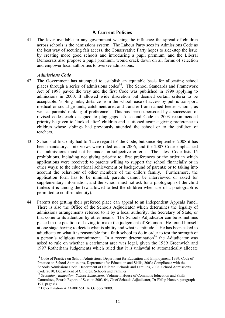#### **9. Current Policies**

41. The lever available to any government wishing the influence the spread of children across schools is the admissions system. The Labour Party sees its Admissions Code as the best way of securing fair access, the Conservative Party hopes to side-step the issue by creating more good schools and introducing a pupil premium, and the Liberal Democrats also propose a pupil premium, would crack down on all forms of selection and empower local authorities to oversee admissions.

#### *Admissions Code*

- 42. The Government has attempted to establish an equitable basis for allocating school places through a series of admissions codes<sup>14</sup>. The School Standards and Framework Act of 1998 paved the way and the first Code was published in 1999 applying to admissions in 2000. It allowed wide discretion but deemed certain criteria to be acceptable: 'sibling links, distance from the school, ease of access by public transport, medical or social grounds, catchment area and transfer from named feeder schools, as well as parents' ranking of preference'. This has been superseded by a succession of revised codes each designed to plug gaps. A second Code in 2003 recommended priority be given to 'looked after' children and cautioned against giving preference to children whose siblings had previously attended the school or to the children of teachers.
- 43. Schools at first only had to 'have regard to' the Code, but since September 2008 it has been mandatory. Interviews were ruled out in 2006, and the 2007 Code emphasized that admissions must not be made on subjective criteria. The latest Code lists 15 prohibitions, including not giving priority to: first preferences or the order in which applications were received; to parents willing to support the school financially or in other ways; to the educational achievement or background of parents; or to taking into account the behaviour of other members of the child's family. Furthermore, the application form has to be minimal, parents cannot be interviewed or asked for supplementary information, and the school must not ask for a photograph of the child (unless it is among the few allowed to test the children when use of a photograph is permitted to confirm identity).
- 44. Parents not getting their preferred place can appeal to an Independent Appeals Panel. There is also the Office of the Schools Adjudicator which determines the legality of admissions arrangements referred to it by a local authority, the Secretary of State, or that come to its attention by other means. The Schools Adjudicator can be sometimes placed in the position of having to make the judgement of Solomon. He found himself at one stage having to decide what is ability and what is aptitude<sup>15</sup>. He has been asked to adjudicate on what it is reasonable for a faith school to do in order to test the strength of a person's religious commitment. In a recent determination  $16$  the Adjudicator was asked to rule on whether a catchment area was legal, given the 1989 Greenwich and 1997 Rotherham Judgements which ruled that it is unlawful to automatically allocate

<span id="page-17-0"></span><sup>&</sup>lt;sup>14</sup> Code of Practice on School Admissions, Department for Education and Employment, 1999; Code of Practice on School Admissions, Department for Education and Skills, 2003; Compliance with the Schools Admissions Code, Department of Children, Schools and Families, 2008; School Admissions Code 2010. Department of Children. Schools and Families.

<span id="page-17-1"></span><sup>&</sup>lt;sup>15</sup> Secondary Education: School Admissions, Volume I, House of Commons Education and Skills Committee, Fourth Report of Session 2003-04, Chief Schools Adjudicator, Dr Philip Hunter, paragraph 197, page 63.

<span id="page-17-2"></span><sup>&</sup>lt;sup>16</sup> Determination ADA/001661, 16 October 2009.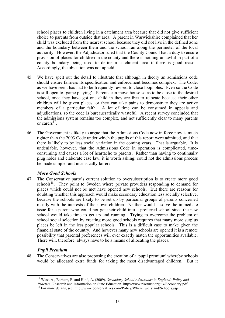school places to children living in a catchment area because that did not give sufficient choice to parents from outside that area. A parent in Warwickshire complained that her child was excluded from the nearest school because they did not live in the defined zone and the boundary between them and the school ran along the perimeter of the local authority. However, the Adjudicator ruled that the County Council had a duty to ensure provision of places for children in the county and there is nothing unlawful in part of a county boundary being used to define a catchment area if there is good reason. Accordingly, the objection was not upheld.

- 45. We have spelt out the detail to illustrate that although in theory an admissions code should ensure fairness its specification and enforcement becomes complex. The Code, as we have seen, has had to be frequently revised to close loopholes. Even so the Code is still open to 'game playing'. Parents can move house so as to be close to the desired school, once they have got one child in they are free to relocate because their other children will be given places, or they can take pains to demonstrate they are active members of a particular faith. A lot of time can be consumed in appeals and adjudications, so the code is bureaucratically wasteful. A recent survey concluded that the admissions system remains too complex, and not sufficiently clear to many parents or carers<sup>17</sup>
- 46. The Government is likely to argue that the Admissions Code now in force now is much tighter than the 2003 Code under which the pupils of this report were admitted, and that there is likely to be less social variation in the coming years. That is arguable. It is undeniable, however, that the Admissions Code in operation is complicated, timeconsuming and causes a lot of heartache to parents. Rather than having to continually plug holes and elaborate case law, it is worth asking: could not the admissions process be made simpler and intrinsically fairer?

#### *More Good Schools*

47. The Conservative party's current solution to oversubscription is to create more good schools<sup>18</sup>. They point to Sweden where private providers responding to demand for places which could not be met have opened new schools. But there are reasons for doubting whether this approach would make secondary education less socially selective, because the schools are likely to be set up by particular groups of parents concerned mostly with the interests of their own children. Neither would it solve the immediate issue for a parent who could not get their child into a preferred school since the new school would take time to get up and running. Trying to overcome the problem of school social selection by creating more good schools requires that many more surplus places be left in the less popular schools. This is a difficult case to make given the financial state of the country. And however many new schools are opened it is a remote possibility that parental preferences will ever exactly match the opportunities available. There will, therefore, always have to be a means of allocating the places.

#### *Pupil Premium*

48. The Conservatives are also proposing the creation of a 'pupil premium' whereby schools would be allocated extra funds for taking the most disadvantaged children. But it

<span id="page-18-0"></span><sup>&</sup>lt;sup>17</sup> West, A., Barham, E. and Hind, A. (2009). *Secondary School Admissions in England: Policy and Practice.* Research and Information on State Education. http://www.risetrust.org.uk/Secondary.pdf

<span id="page-18-1"></span><sup>&</sup>lt;sup>18</sup> For more details, see: http://www.conservatives.com/Policy/Where\_we\_stand/Schools.aspx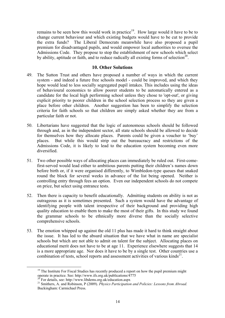remains to be seen how this would work in practice<sup>19</sup>. How large would it have to be to change current behaviour and which existing budgets would have to be cut to provide the extra funds? The Liberal Democrats meanwhile have also proposed a pupil premium for disadvantaged pupils, and would empower local authorities to oversee the Admissions Code. They propose to stop the establishment of new schools which select by ability, aptitude or faith, and to reduce radically all existing forms of selection<sup>20</sup>.

#### **10. Other Solutions**

- 49. The Sutton Trust and others have proposed a number of ways in which the current system - and indeed a future free schools model - could be improved, and which they hope would lead to less socially segregated pupil intakes. This includes using the ideas of behavioural economics to allow poorer students to be automatically entered as a candidate for the local high performing school unless they chose to 'opt-out', or giving explicit priority to poorer children in the school selection process so they are given a place before other children. Another suggestion has been to simplify the selection criteria for faith schools so that children are simply asked whether they are from a particular faith or not.
- 50. Libertarians have suggested that the logic of autonomous schools should be followed through and, as in the independent sector, all state schools should be allowed to decide for themselves how they allocate places. Parents could be given a voucher to 'buy' places. But while this would strip out the bureaucracy and restrictions of the Admissions Code, it is likely to lead to the education system becoming even more diversified.
- 51. Two other possible ways of allocating places can immediately be ruled out. First-comefirst-served would lead either to ambitious parents putting their children's names down before birth or, if it were organised differently, to Wimbledon-type queues that snaked round the block for several weeks in advance of the list being opened. Neither is controlling entry through fees an option. Even our independent schools do not compete on price, but select using entrance tests.
- 52. Then there is capacity to benefit educationally. Admitting students on ability is not as outrageous as it is sometimes presented. Such a system would have the advantage of identifying people with talent irrespective of their background and providing high quality education to enable them to make the most of their gifts. In this study we found the grammar schools to be ethnically more diverse than the socially selective comprehensive schools.
- 53. The emotion whipped up against the old 11 plus has made it hard to think straight about the issue. It has led to the absurd situation that we have what in name are specialist schools but which are not able to admit on talent for the subject. Allocating places on educational merit does not have to be at age 11. Experience elsewhere suggests that 14 is a more appropriate age. Nor does it have to be by a single test. Other countries use a combination of tests, school reports and assessment activities of various kinds<sup>21</sup>.

<span id="page-19-0"></span><sup>&</sup>lt;sup>19</sup> The Institute For Fiscal Studies has recently produced a report on how the pupil premium might operate in practice. See: http://www.ifs.org.uk/publications/4775

<span id="page-19-2"></span><span id="page-19-1"></span>

 $^{20}$  For details, see: http://www.libdems.org.uk/education.aspx<br> $^{21}$  Smithers, A. and Robinson, P (2009). *Physics Participation and Policies: Lessons from Abroad.* Buckingham: Carmichael Press.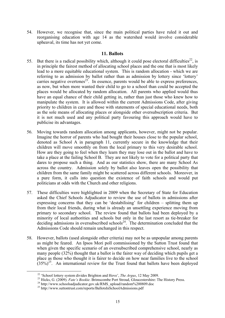54. However, we recognise that, since the main political parties have ruled it out and reorganising education with age 14 as the watershed would involve considerable upheaval, its time has not yet come.

#### **11. Ballots**

- 55. But there is a radical possibility which, although it could pose electoral difficulties<sup>22</sup>, is in principle the fairest method of allocating school places and the one that is most likely lead to a more equitable educational system. This is random allocation - which we are referring to as admission by ballot rather than as admission by lottery since 'lottery' carries negative overtones<sup>23</sup>. In essence, parents would be able to express preferences, as now, but when more wanted their child to go to a school than could be accepted the places would be allocated by random allocation. All parents who applied would thus have an equal chance of their child getting in, rather than just those who knew how to manipulate the system. It is allowed within the current Admissions Code, after giving priority to children in care and those with statements of special educational needs, both as the sole means of allocating places or alongside other oversubscription criteria. But it is not much used and any political party favouring this approach would have to publicise its advantages.
- 56. Moving towards random allocation among applicants, however, might not be popular. Imagine the horror of parents who had bought their houses close to the popular school, denoted as School A in paragraph 11, currently secure in the knowledge that their children will move smoothly on from the local primary to this very desirable school. How are they going to feel when they learn they may lose out in the ballot and have to take a place at the failing School B. They are not likely to vote for a political party that dares to propose such a thing. And as our statistics show, there are many School As across the country. Admission solely by ballot also leaves open the possibility that children from the same family might be scattered across different schools. Moreover, in a pure form, it calls into question the existence of faith schools and would put politicians at odds with the Church and other religions.
- 57. These difficulties were highlighted in 2009 when the Secretary of State for Education asked the Chief Schools Adjudicator to review the use of ballots in admissions after expressing concerns that they can be 'destabilising' for children – splitting them up from their local friends, during what is already an unsettling experience moving from primary to secondary school. The review found that ballots had been deployed by a minority of local authorities and schools but only in the last resort as tie-breaker for deciding admissions in oversubscribed schools<sup>24</sup>. The determination concluded that the Admissions Code should remain unchanged in this respect.
- 58. However, ballots (used alongside other criteria) may not be as unpopular among parents as might be feared. An Ipsos Mori poll commissioned by the Sutton Trust found that when given the specific scenario of an oversubscribed comprehensive school, nearly as many people (32%) thought that a ballot is the fairer way of deciding which pupils get a place as those who thought it is fairer to decide on how near families live to the school  $(35\%)^{25}$ . An international review for the Trust found that ballots have been deployed

<span id="page-20-0"></span>

<sup>&</sup>lt;sup>22</sup> 'School lottery system divides Brighton and Hove', *The Argus*, 12 May 2009.<br><sup>23</sup> Hicks, G. (2009). *Fate's Bookie*. Brimscombe Port Stroud, Gloucestershire: The History Press.<br><sup>24</sup> http://www.schoolsadjudicator.gov.

<span id="page-20-2"></span><span id="page-20-1"></span>

<span id="page-20-3"></span>